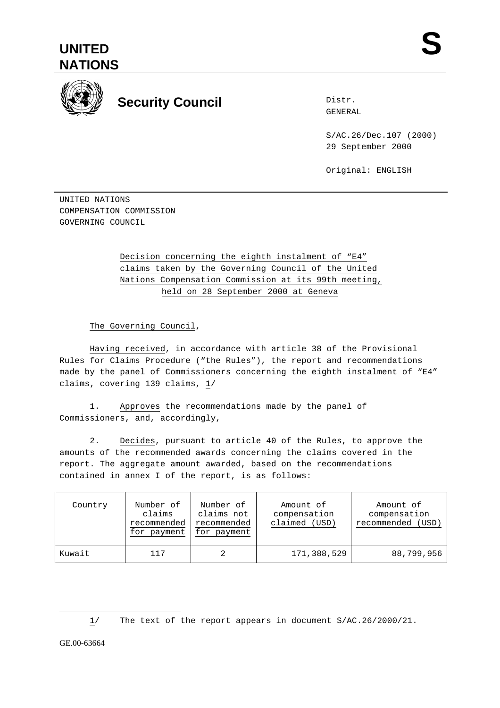



## **Security Council**

Distr. GENERAL

S/AC.26/Dec.107 (2000) 29 September 2000

Original: ENGLISH

UNITED NATIONS COMPENSATION COMMISSION GOVERNING COUNCIL

## Decision concerning the eighth instalment of "E4" claims taken by the Governing Council of the United Nations Compensation Commission at its 99th meeting, held on 28 September 2000 at Geneva

The Governing Council,

Having received, in accordance with article 38 of the Provisional Rules for Claims Procedure ("the Rules"), the report and recommendations made by the panel of Commissioners concerning the eighth instalment of "E4" claims, covering 139 claims, 1/

1. Approves the recommendations made by the panel of Commissioners, and, accordingly,

2. Decides, pursuant to article 40 of the Rules, to approve the amounts of the recommended awards concerning the claims covered in the report. The aggregate amount awarded, based on the recommendations contained in annex I of the report, is as follows:

| Country | Number of<br>claims<br>recommended<br>for payment | Number of<br>claims not<br>recommended<br>for payment | Amount of<br>compensation<br>claimed (USD) | Amount of<br>compensation<br>recommended<br>(USD) |
|---------|---------------------------------------------------|-------------------------------------------------------|--------------------------------------------|---------------------------------------------------|
| Kuwait  | 117                                               |                                                       | 171,388,529                                | 88,799,956                                        |

 $\overline{a}$ 

<sup>1/</sup> The text of the report appears in document S/AC.26/2000/21.